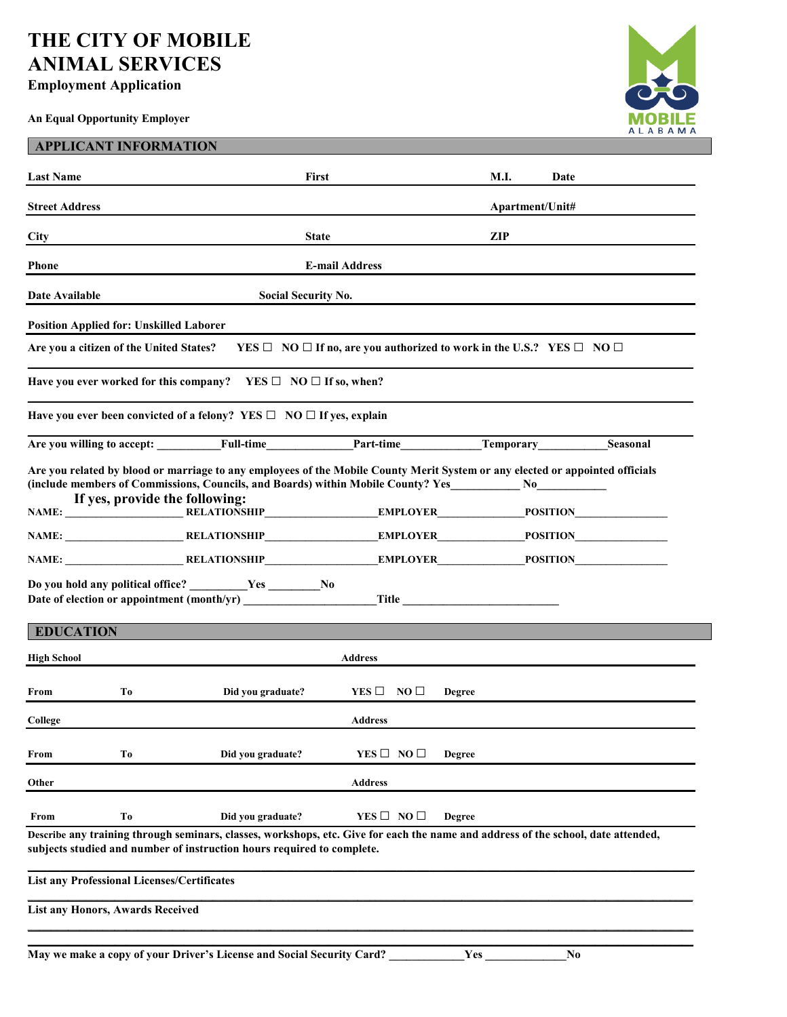## **THE CITY OF MOBILE ANIMAL SERVICES**

## **Employment Application**

**An Equal Opportunity Employer** 



| <b>APPLICANT INFORMATION</b>                                                                                                                                                                                                                           |                                                                                |                                                                                          |               |                              |  |  |
|--------------------------------------------------------------------------------------------------------------------------------------------------------------------------------------------------------------------------------------------------------|--------------------------------------------------------------------------------|------------------------------------------------------------------------------------------|---------------|------------------------------|--|--|
| <b>Last Name</b>                                                                                                                                                                                                                                       | First                                                                          |                                                                                          | M.I.          | Date                         |  |  |
| <b>Street Address</b>                                                                                                                                                                                                                                  |                                                                                |                                                                                          |               | Apartment/Unit#              |  |  |
| <b>City</b>                                                                                                                                                                                                                                            | <b>State</b>                                                                   |                                                                                          | <b>ZIP</b>    |                              |  |  |
| <b>Phone</b>                                                                                                                                                                                                                                           | <b>E-mail Address</b>                                                          |                                                                                          |               |                              |  |  |
| Date Available<br><b>Social Security No.</b>                                                                                                                                                                                                           |                                                                                |                                                                                          |               |                              |  |  |
| <b>Position Applied for: Unskilled Laborer</b>                                                                                                                                                                                                         |                                                                                |                                                                                          |               |                              |  |  |
| Are you a citizen of the United States?                                                                                                                                                                                                                |                                                                                | YES $\Box$ NO $\Box$ If no, are you authorized to work in the U.S.? YES $\Box$ NO $\Box$ |               |                              |  |  |
|                                                                                                                                                                                                                                                        | Have you ever worked for this company? YES $\square$ NO $\square$ If so, when? |                                                                                          |               |                              |  |  |
|                                                                                                                                                                                                                                                        | Have you ever been convicted of a felony? YES $\Box$ NO $\Box$ If yes, explain |                                                                                          |               |                              |  |  |
|                                                                                                                                                                                                                                                        | Are you willing to accept: Full-time                                           | Part-time                                                                                |               | <b>Temporary</b><br>Seasonal |  |  |
| Are you related by blood or marriage to any employees of the Mobile County Merit System or any elected or appointed officials<br>(include members of Commissions, Councils, and Boards) within Mobile County? Yes No<br>If yes, provide the following: |                                                                                |                                                                                          |               |                              |  |  |
|                                                                                                                                                                                                                                                        | NAME: RELATIONSHIP RELATIONSHIP RELATIONSHIP RELATIONSHIP RELATIONSHIP         |                                                                                          |               |                              |  |  |
|                                                                                                                                                                                                                                                        | NAME: RELATIONSHIP EMPLOYER POSITION                                           |                                                                                          |               |                              |  |  |
| Do you hold any political office? ________Yes ______No<br>Date of election or appointment (month/yr) Title Theory Title                                                                                                                                |                                                                                |                                                                                          |               |                              |  |  |
| <b>EDUCATION</b>                                                                                                                                                                                                                                       |                                                                                |                                                                                          |               |                              |  |  |
| <b>High School</b><br><b>Address</b>                                                                                                                                                                                                                   |                                                                                |                                                                                          |               |                              |  |  |
| To<br>From                                                                                                                                                                                                                                             | Did you graduate?                                                              | $YES \Box NO \Box$                                                                       | <b>Degree</b> |                              |  |  |
| College                                                                                                                                                                                                                                                |                                                                                | <b>Address</b>                                                                           |               |                              |  |  |
| To<br>From                                                                                                                                                                                                                                             | Did you graduate?                                                              | YES $\Box$ NO $\Box$                                                                     | <b>Degree</b> |                              |  |  |
| <b>Address</b><br>Other                                                                                                                                                                                                                                |                                                                                |                                                                                          |               |                              |  |  |
| T <sub>0</sub><br>From                                                                                                                                                                                                                                 | Did you graduate?                                                              | $YES \Box NO \Box$                                                                       | Degree        |                              |  |  |
| Describe any training through seminars, classes, workshops, etc. Give for each the name and address of the school, date attended,<br>subjects studied and number of instruction hours required to complete.                                            |                                                                                |                                                                                          |               |                              |  |  |
| <b>List any Professional Licenses/Certificates</b>                                                                                                                                                                                                     |                                                                                |                                                                                          |               |                              |  |  |
| <b>List any Honors, Awards Received</b>                                                                                                                                                                                                                |                                                                                |                                                                                          |               |                              |  |  |
|                                                                                                                                                                                                                                                        |                                                                                |                                                                                          |               |                              |  |  |

**May we make a copy of your Driver's License and Social Security Card? \_\_\_\_\_\_\_\_\_\_\_\_\_Yes \_\_\_\_\_\_\_\_\_\_\_\_\_\_No**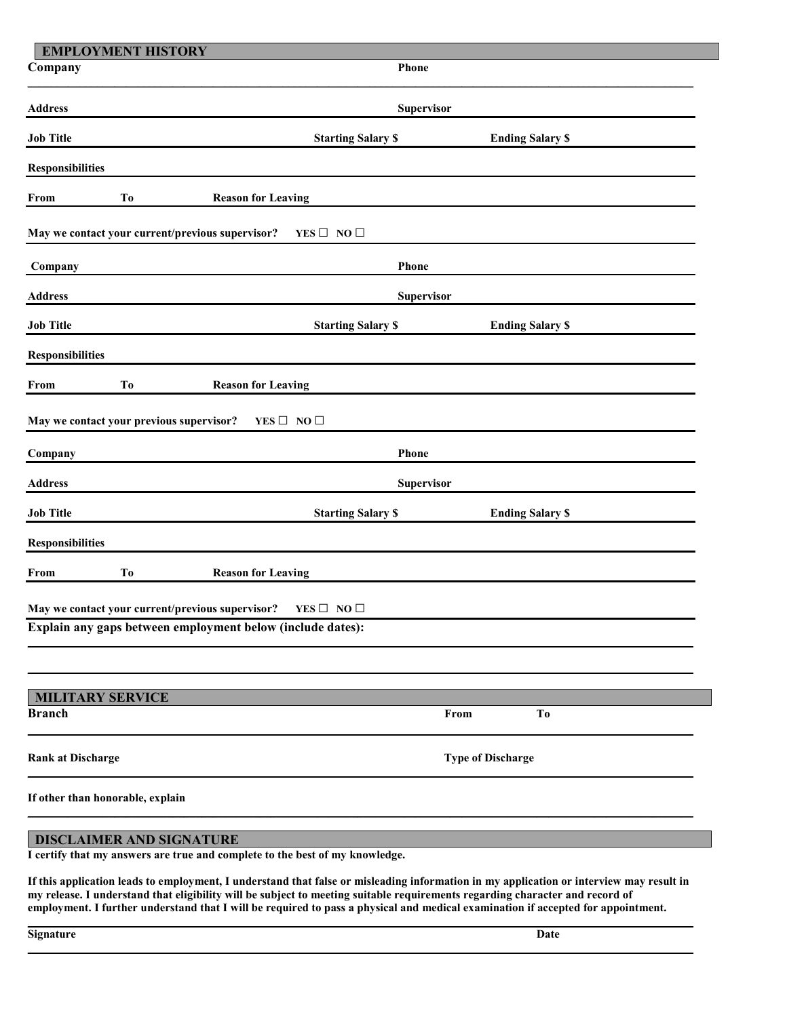|                                                                          | <b>EMPLOYMENT HISTORY</b>                        |                            |                          |  |  |
|--------------------------------------------------------------------------|--------------------------------------------------|----------------------------|--------------------------|--|--|
| Company                                                                  |                                                  | Phone                      |                          |  |  |
| <b>Address</b>                                                           |                                                  | Supervisor                 |                          |  |  |
| <b>Job Title</b>                                                         |                                                  | <b>Starting Salary \$</b>  | <b>Ending Salary \$</b>  |  |  |
| <b>Responsibilities</b>                                                  |                                                  |                            |                          |  |  |
| From                                                                     | T <sub>o</sub><br><b>Reason for Leaving</b>      |                            |                          |  |  |
|                                                                          | May we contact your current/previous supervisor? | YES $\square$ NO $\square$ |                          |  |  |
| Company                                                                  |                                                  | Phone                      |                          |  |  |
| <b>Address</b>                                                           |                                                  | Supervisor                 |                          |  |  |
| <b>Job Title</b>                                                         |                                                  | <b>Starting Salary \$</b>  | <b>Ending Salary \$</b>  |  |  |
| <b>Responsibilities</b>                                                  |                                                  |                            |                          |  |  |
| From                                                                     | T <sub>0</sub><br><b>Reason for Leaving</b>      |                            |                          |  |  |
| May we contact your previous supervisor?<br>$YES \Box NO \Box$           |                                                  |                            |                          |  |  |
| Company                                                                  | Phone                                            |                            |                          |  |  |
| <b>Address</b>                                                           |                                                  | Supervisor                 |                          |  |  |
| <b>Job Title</b>                                                         |                                                  | <b>Starting Salary \$</b>  | <b>Ending Salary \$</b>  |  |  |
| <b>Responsibilities</b>                                                  |                                                  |                            |                          |  |  |
| From                                                                     | T <sub>0</sub><br><b>Reason for Leaving</b>      |                            |                          |  |  |
| May we contact your current/previous supervisor?<br>YES $\Box$ NO $\Box$ |                                                  |                            |                          |  |  |
| Explain any gaps between employment below (include dates):               |                                                  |                            |                          |  |  |
|                                                                          |                                                  |                            |                          |  |  |
| <b>Branch</b>                                                            | <b>MILITARY SERVICE</b>                          |                            | T <sub>0</sub><br>From   |  |  |
|                                                                          |                                                  |                            |                          |  |  |
| <b>Rank at Discharge</b>                                                 |                                                  |                            | <b>Type of Discharge</b> |  |  |
| If other than honorable, explain                                         |                                                  |                            |                          |  |  |
|                                                                          | DISCLAIMER AND SIGNATURE                         |                            |                          |  |  |

**I certify that my answers are true and complete to the best of my knowledge.** 

**If this application leads to employment, I understand that false or misleading information in my application or interview may result in my release. I understand that eligibility will be subject to meeting suitable requirements regarding character and record of employment. I further understand that I will be required to pass a physical and medical examination if accepted for appointment.** 

**\_\_\_\_\_\_\_\_\_\_\_\_\_\_\_\_\_\_\_\_\_\_\_\_\_\_\_\_\_\_\_\_\_\_\_\_\_\_\_\_\_\_\_\_\_\_\_\_\_\_\_\_\_\_\_\_\_\_\_\_\_\_\_\_\_\_\_\_\_\_\_\_\_\_\_\_\_\_\_\_\_\_\_\_\_\_\_\_\_\_\_\_\_\_\_\_\_\_\_\_\_\_\_\_\_\_\_\_\_\_\_\_\_\_\_**

**\_\_\_\_\_\_\_\_\_\_\_\_\_\_\_\_\_\_\_\_\_\_\_\_\_\_\_\_\_\_\_\_\_\_\_\_\_\_\_\_\_\_\_\_\_\_\_\_\_\_\_\_\_\_\_\_\_\_\_\_\_\_\_\_\_\_\_\_\_\_\_\_\_\_\_\_\_\_\_\_\_\_\_\_\_\_\_\_\_\_\_\_\_\_\_\_\_\_\_\_\_\_\_\_\_\_\_\_\_\_\_\_\_\_\_**

| Signature | Date |
|-----------|------|
|           |      |